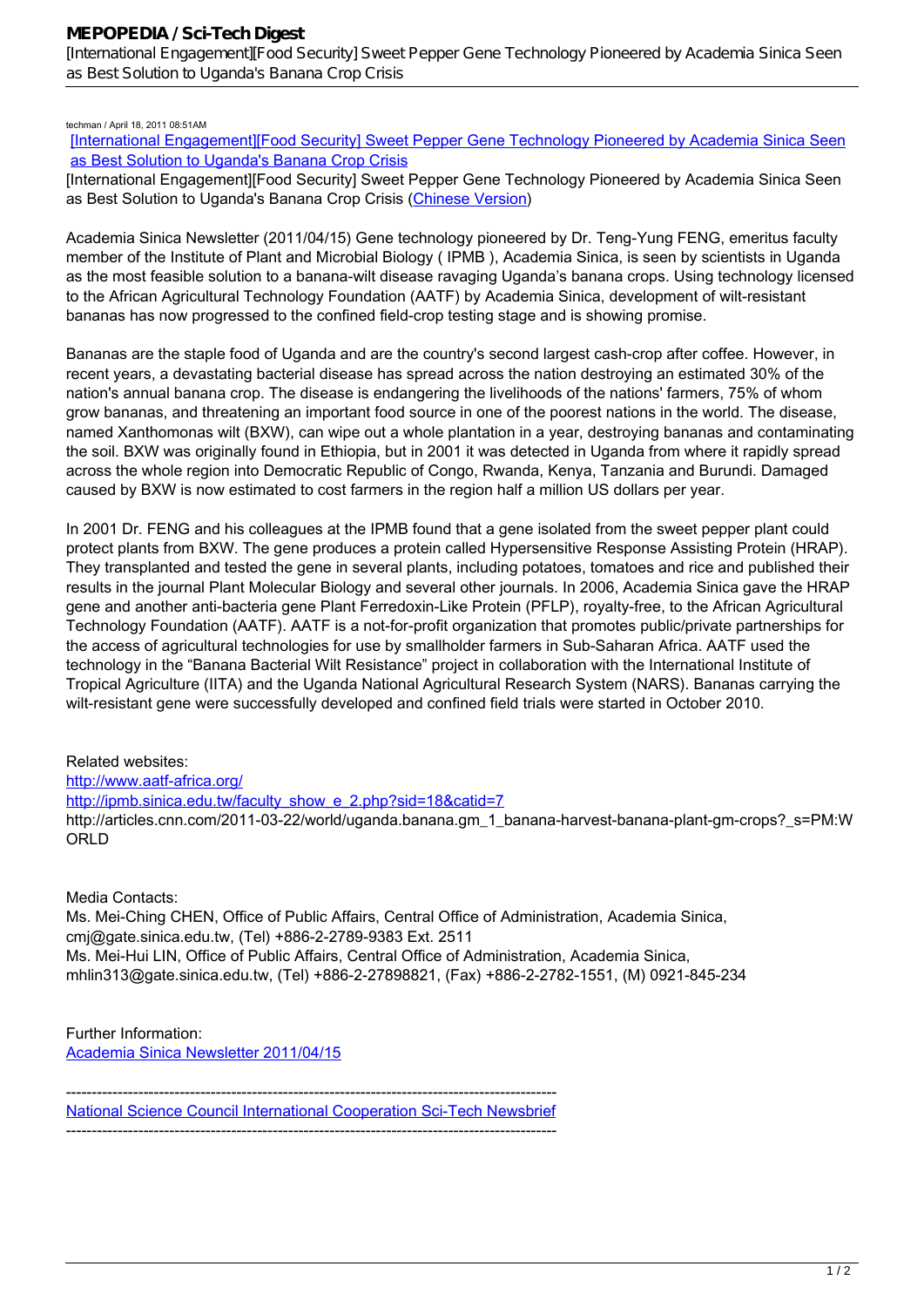## techman / April 18, 2011 08:51AM

[\[International Engagement\]\[Food Security\] Sweet Pepper Gene Technology Pioneered by Academia Sinica Seen](http://mepopedia.comhttp://mepopedia.com/forum/read.php?160,11806,11806#msg-11806) [as Best Solution to Uganda's Banana Crop Crisis](http://mepopedia.comhttp://mepopedia.com/forum/read.php?160,11806,11806#msg-11806)

[International Engagement][Food Security] Sweet Pepper Gene Technology Pioneered by Academia Sinica Seen as Best Solution to Uganda's Banana Crop Crisis (Chinese Version)

*Academia Sinica Newsletter* (2011/04/15) Gene technology pioneered by Dr. Teng-Yung FENG, emeritus faculty member of the Institute of Plant and Microbial Biology ( IPMB ), Academia Sinica, is seen by scientists in Uganda as the most feasible solution to a banana-wilt disease ravaging Uganda's banana crops. Using technology licensed to the African Agricultural Technology Foundation (AATF) by Academia Sinica, development of wilt-resistant bananas has now progressed to the confined field-crop testing stage and is showing promise.

Bananas are the staple food of Uganda and are the country's second largest cash-crop after coffee. However, in recent years, a devastating bacterial disease has spread across the nation destroying an estimated 30% of the nation's annual banana crop. The disease is endangering the livelihoods of the nations' farmers, 75% of whom grow bananas, and threatening an important food source in one of the poorest nations in the world. The disease, named Xanthomonas wilt (BXW), can wipe out a whole plantation in a year, destroying bananas and contaminating the soil. BXW was originally found in Ethiopia, but in 2001 it was detected in Uganda from where it rapidly spread across the whole region into Democratic Republic of Congo, Rwanda, Kenya, Tanzania and Burundi. Damaged caused by BXW is now estimated to cost farmers in the region half a million US dollars per year.

In 2001 Dr. FENG and his colleagues at the IPMB found that a gene isolated from the sweet pepper plant could protect plants from BXW. The gene produces a protein called Hypersensitive Response Assisting Protein (HRAP). They transplanted and tested the gene in several plants, including potatoes, tomatoes and rice and published their results in the journal *Plant Molecular Biology* and several other journals. In 2006, Academia Sinica gave the HRAP gene and another anti-bacteria gene Plant Ferredoxin-Like Protein (PFLP), royalty-free, to the African Agricultural Technology Foundation (AATF). AATF is a not-for-profit organization that promotes public/private partnerships for the access of agricultural technologies for use by smallholder farmers in Sub-Saharan Africa. AATF used the technology in the "Banana Bacterial Wilt Resistance" project in collaboration with the International Institute of Tropical Agriculture (IITA) and the Uganda National Agricultural Research System (NARS). Bananas carrying the wilt-resistant gene were successfully developed and confined field trials were started in October 2010.

Related websites: http://www.aatf-africa.org/

http://ipmb.sinica.edu.tw/faculty\_show\_e\_2.php?sid=18&catid=7

http://articles.cnn.com/2011-03-22/world/uganda.banana.gm\_1\_banana-harvest-banana-plant-gm-crops?\_s=PM:W ORLD

Media Contacts:

Ms. Mei-Ching CHEN, Office of Public Affairs, Central Office of Administration, Academia Sinica, cmj@gate.sinica.edu.tw, (Tel) +886-2-2789-9383 Ext. 2511 Ms. Mei-Hui LIN, Office of Public Affairs, Central Office of Administration, Academia Sinica, mhlin313@gate.sinica.edu.tw, (Tel) +886-2-27898821, (Fax) +886-2-2782-1551, (M) 0921-845-234

Further Information: Academia Sinica Newsletter 2011/04/15

----------------------------------------------------------------------------------------------- National Science Council International Cooperation Sci-Tech Newsbrief -----------------------------------------------------------------------------------------------